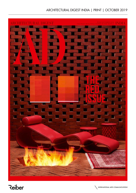